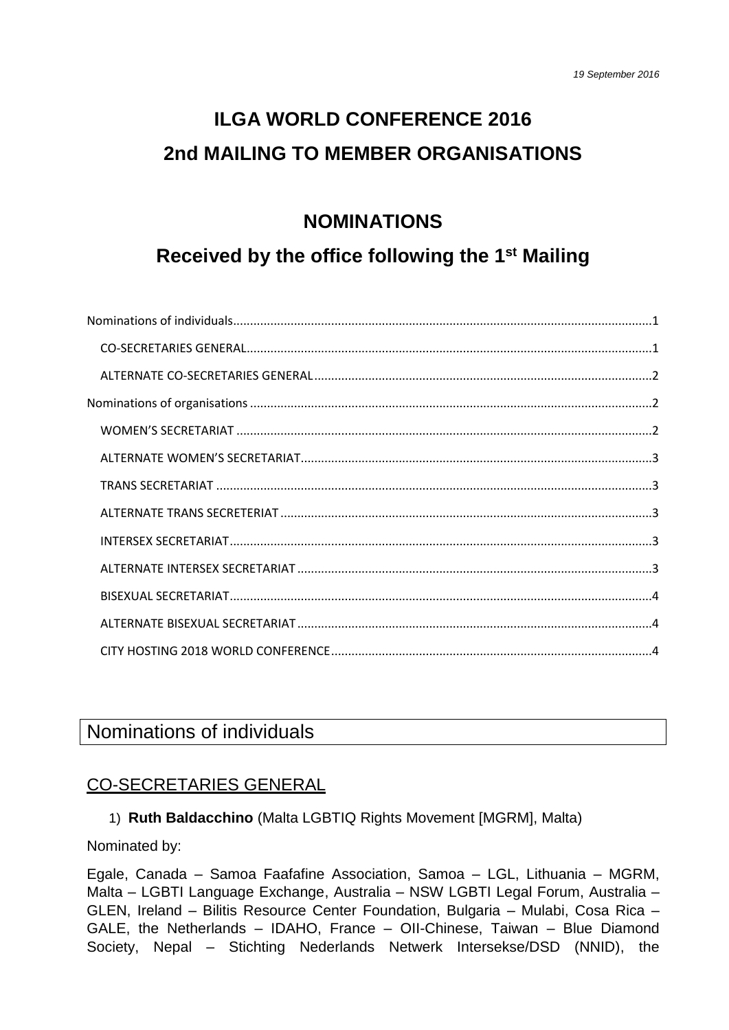# **ILGA WORLD CONFERENCE 2016 2nd MAILING TO MEMBER ORGANISATIONS**

## **NOMINATIONS**

## **Received by the office following the 1st Mailing**

## <span id="page-0-0"></span>Nominations of individuals

#### <span id="page-0-1"></span>CO-SECRETARIES GENERAL

1) **Ruth Baldacchino** (Malta LGBTIQ Rights Movement [MGRM], Malta)

Nominated by:

Egale, Canada – Samoa Faafafine Association, Samoa – LGL, Lithuania – MGRM, Malta – LGBTI Language Exchange, Australia – NSW LGBTI Legal Forum, Australia – GLEN, Ireland – Bilitis Resource Center Foundation, Bulgaria – Mulabi, Cosa Rica – GALE, the Netherlands – IDAHO, France – OII-Chinese, Taiwan – Blue Diamond Society, Nepal – Stichting Nederlands Netwerk Intersekse/DSD (NNID), the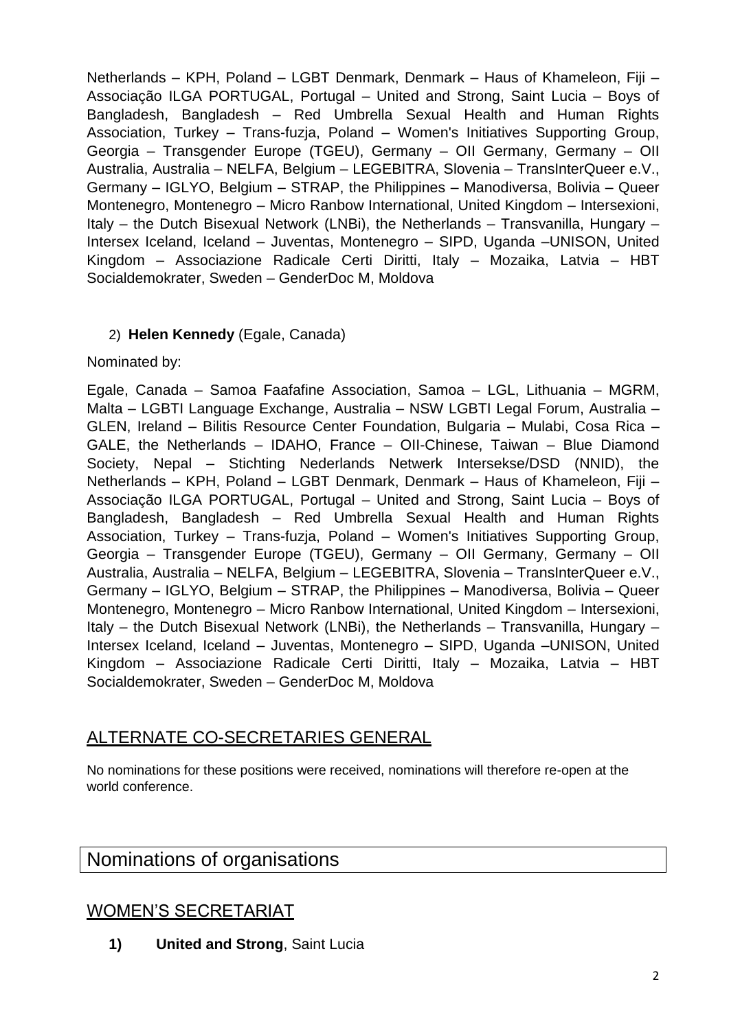Netherlands – KPH, Poland – LGBT Denmark, Denmark – Haus of Khameleon, Fiji – Associação ILGA PORTUGAL, Portugal – United and Strong, Saint Lucia – Boys of Bangladesh, Bangladesh – Red Umbrella Sexual Health and Human Rights Association, Turkey – Trans-fuzja, Poland – Women's Initiatives Supporting Group, Georgia – Transgender Europe (TGEU), Germany – OII Germany, Germany – OII Australia, Australia – NELFA, Belgium – LEGEBITRA, Slovenia – TransInterQueer e.V., Germany – IGLYO, Belgium – STRAP, the Philippines – Manodiversa, Bolivia – Queer Montenegro, Montenegro – Micro Ranbow International, United Kingdom – Intersexioni, Italy – the Dutch Bisexual Network (LNBi), the Netherlands – Transvanilla, Hungary – Intersex Iceland, Iceland – Juventas, Montenegro – SIPD, Uganda –UNISON, United Kingdom – Associazione Radicale Certi Diritti, Italy – Mozaika, Latvia – HBT Socialdemokrater, Sweden – GenderDoc M, Moldova

#### 2) **Helen Kennedy** (Egale, Canada)

Nominated by:

Egale, Canada – Samoa Faafafine Association, Samoa – LGL, Lithuania – MGRM, Malta – LGBTI Language Exchange, Australia – NSW LGBTI Legal Forum, Australia – GLEN, Ireland – Bilitis Resource Center Foundation, Bulgaria – Mulabi, Cosa Rica – GALE, the Netherlands – IDAHO, France – OII-Chinese, Taiwan – Blue Diamond Society, Nepal – Stichting Nederlands Netwerk Intersekse/DSD (NNID), the Netherlands – KPH, Poland – LGBT Denmark, Denmark – Haus of Khameleon, Fiji – Associação ILGA PORTUGAL, Portugal – United and Strong, Saint Lucia – Boys of Bangladesh, Bangladesh – Red Umbrella Sexual Health and Human Rights Association, Turkey – Trans-fuzja, Poland – Women's Initiatives Supporting Group, Georgia – Transgender Europe (TGEU), Germany – OII Germany, Germany – OII Australia, Australia – NELFA, Belgium – LEGEBITRA, Slovenia – TransInterQueer e.V., Germany – IGLYO, Belgium – STRAP, the Philippines – Manodiversa, Bolivia – Queer Montenegro, Montenegro – Micro Ranbow International, United Kingdom – Intersexioni, Italy – the Dutch Bisexual Network (LNBi), the Netherlands – Transvanilla, Hungary – Intersex Iceland, Iceland – Juventas, Montenegro – SIPD, Uganda –UNISON, United Kingdom – Associazione Radicale Certi Diritti, Italy – Mozaika, Latvia – HBT Socialdemokrater, Sweden – GenderDoc M, Moldova

#### <span id="page-1-0"></span>ALTERNATE CO-SECRETARIES GENERAL

No nominations for these positions were received, nominations will therefore re-open at the world conference.

## <span id="page-1-1"></span>Nominations of organisations

## <span id="page-1-2"></span>WOMEN'S SECRETARIAT

**1) United and Strong**, Saint Lucia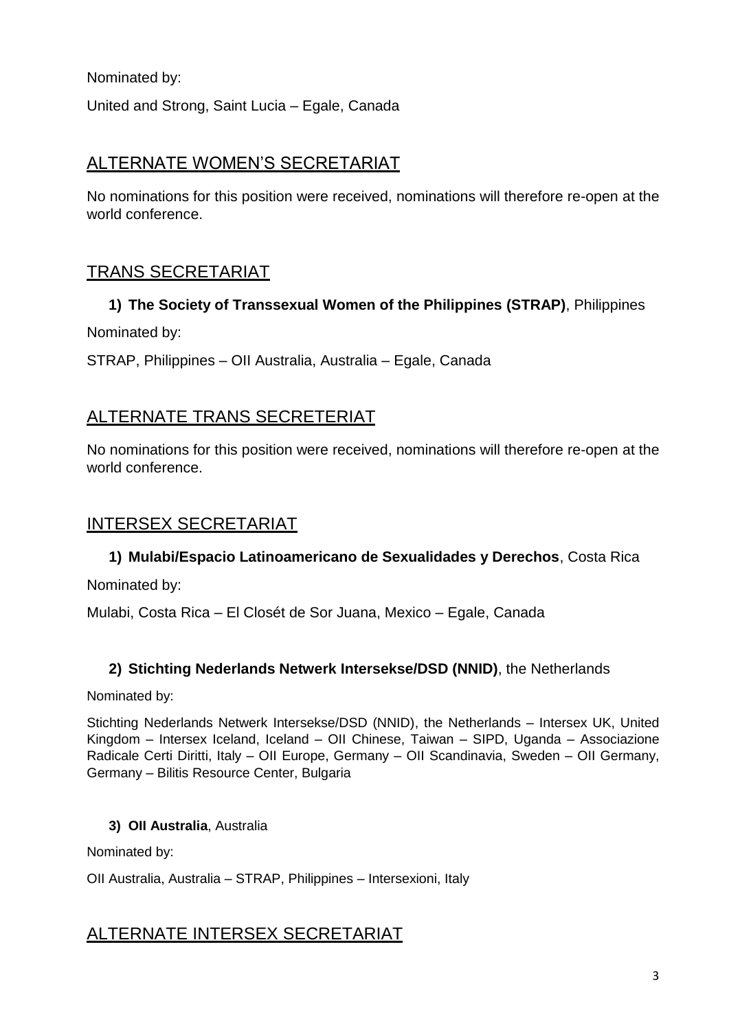Nominated by:

United and Strong, Saint Lucia – Egale, Canada

### <span id="page-2-0"></span>ALTERNATE WOMEN'S SECRETARIAT

No nominations for this position were received, nominations will therefore re-open at the world conference.

### <span id="page-2-1"></span>TRANS SECRETARIAT

## **1) The Society of Transsexual Women of the Philippines (STRAP)**, Philippines Nominated by:

STRAP, Philippines – OII Australia, Australia – Egale, Canada

### <span id="page-2-2"></span>ALTERNATE TRANS SECRETERIAT

No nominations for this position were received, nominations will therefore re-open at the world conference.

#### <span id="page-2-3"></span>INTERSEX SECRETARIAT

#### **1) Mulabi/Espacio Latinoamericano de Sexualidades y Derechos**, Costa Rica

Nominated by:

Mulabi, Costa Rica – El Closét de Sor Juana, Mexico – Egale, Canada

#### **2) Stichting Nederlands Netwerk Intersekse/DSD (NNID)**, the Netherlands

Nominated by:

Stichting Nederlands Netwerk Intersekse/DSD (NNID), the Netherlands – Intersex UK, United Kingdom – Intersex Iceland, Iceland – OII Chinese, Taiwan – SIPD, Uganda – Associazione Radicale Certi Diritti, Italy – OII Europe, Germany – OII Scandinavia, Sweden – OII Germany, Germany – Bilitis Resource Center, Bulgaria

#### **3) OII Australia**, Australia

Nominated by:

OII Australia, Australia – STRAP, Philippines – Intersexioni, Italy

#### <span id="page-2-4"></span>ALTERNATE INTERSEX SECRETARIAT